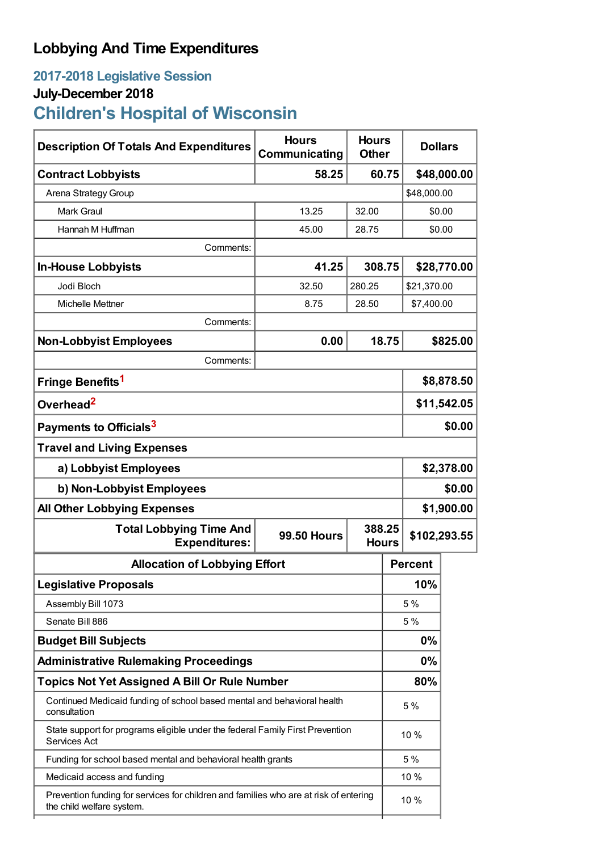# **Lobbying And Time Expenditures**

# **2017-2018 Legislative Session**

# **July-December 2018**

# **Children's Hospital of Wisconsin**

| <b>Description Of Totals And Expenditures</b>                                                                      | <b>Hours</b><br>Communicating | <b>Hours</b><br><b>Other</b> |      | <b>Dollars</b> |            |  |
|--------------------------------------------------------------------------------------------------------------------|-------------------------------|------------------------------|------|----------------|------------|--|
| <b>Contract Lobbyists</b>                                                                                          | 58.25                         | 60.75                        |      | \$48,000.00    |            |  |
| Arena Strategy Group                                                                                               |                               |                              |      | \$48,000.00    |            |  |
| <b>Mark Graul</b>                                                                                                  | 13.25                         | 32.00                        |      | \$0.00         |            |  |
| Hannah M Huffman                                                                                                   | 45.00                         | 28.75                        |      | \$0.00         |            |  |
| Comments:                                                                                                          |                               |                              |      |                |            |  |
| <b>In-House Lobbyists</b>                                                                                          | 41.25                         | 308.75                       |      | \$28,770.00    |            |  |
| Jodi Bloch                                                                                                         | 32.50                         | 280.25                       |      | \$21,370.00    |            |  |
| Michelle Mettner                                                                                                   | 8.75                          | 28.50                        |      |                | \$7,400.00 |  |
| Comments:                                                                                                          |                               |                              |      |                |            |  |
| <b>Non-Lobbyist Employees</b>                                                                                      | 0.00                          | 18.75                        |      | \$825.00       |            |  |
| Comments:                                                                                                          |                               |                              |      |                |            |  |
| Fringe Benefits <sup>1</sup>                                                                                       |                               |                              |      | \$8,878.50     |            |  |
| Overhead <sup>2</sup>                                                                                              |                               |                              |      | \$11,542.05    |            |  |
| Payments to Officials <sup>3</sup>                                                                                 |                               |                              |      | \$0.00         |            |  |
| <b>Travel and Living Expenses</b>                                                                                  |                               |                              |      |                |            |  |
| a) Lobbyist Employees                                                                                              |                               |                              |      | \$2,378.00     |            |  |
| b) Non-Lobbyist Employees                                                                                          |                               |                              |      | \$0.00         |            |  |
| <b>All Other Lobbying Expenses</b>                                                                                 |                               |                              |      | \$1,900.00     |            |  |
| <b>Total Lobbying Time And</b><br><b>Expenditures:</b>                                                             | <b>99.50 Hours</b>            | 388.25<br><b>Hours</b>       |      | \$102,293.55   |            |  |
| <b>Allocation of Lobbying Effort</b>                                                                               |                               |                              |      | <b>Percent</b> |            |  |
| <b>Legislative Proposals</b>                                                                                       |                               |                              | 10%  |                |            |  |
| Assembly Bill 1073                                                                                                 |                               |                              |      | 5 %            |            |  |
| Senate Bill 886                                                                                                    |                               |                              |      | 5 %            |            |  |
| <b>Budget Bill Subjects</b>                                                                                        |                               |                              |      | 0%             |            |  |
| <b>Administrative Rulemaking Proceedings</b>                                                                       |                               |                              |      | 0%             |            |  |
| <b>Topics Not Yet Assigned A Bill Or Rule Number</b>                                                               |                               |                              |      | 80%            |            |  |
| Continued Medicaid funding of school based mental and behavioral health<br>consultation                            |                               |                              | 5 %  |                |            |  |
| State support for programs eligible under the federal Family First Prevention<br>Services Act                      |                               |                              | 10 % |                |            |  |
| Funding for school based mental and behavioral health grants                                                       |                               |                              |      | 5 %            |            |  |
| Medicaid access and funding                                                                                        |                               |                              |      | 10 %           |            |  |
| Prevention funding for services for children and families who are at risk of entering<br>the child welfare system. |                               |                              | 10 % |                |            |  |